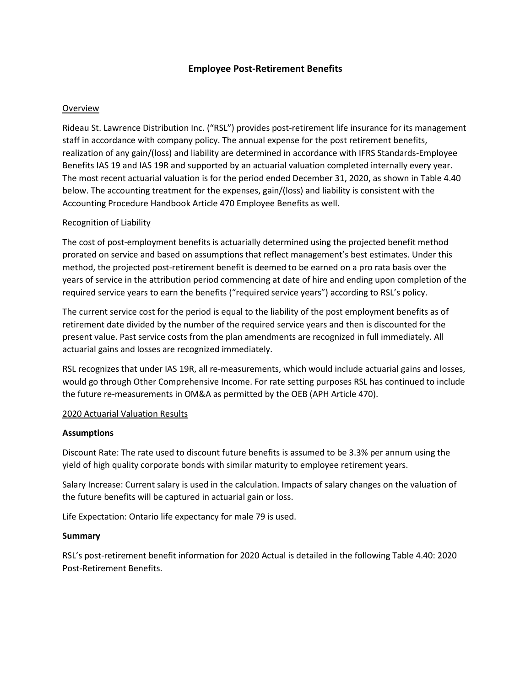## **Employee Post-Retirement Benefits**

## **Overview**

Rideau St. Lawrence Distribution Inc. ("RSL") provides post-retirement life insurance for its management staff in accordance with company policy. The annual expense for the post retirement benefits, realization of any gain/(loss) and liability are determined in accordance with IFRS Standards-Employee Benefits IAS 19 and IAS 19R and supported by an actuarial valuation completed internally every year. The most recent actuarial valuation is for the period ended December 31, 2020, as shown in Table 4.40 below. The accounting treatment for the expenses, gain/(loss) and liability is consistent with the Accounting Procedure Handbook Article 470 Employee Benefits as well.

#### Recognition of Liability

The cost of post-employment benefits is actuarially determined using the projected benefit method prorated on service and based on assumptions that reflect management's best estimates. Under this method, the projected post-retirement benefit is deemed to be earned on a pro rata basis over the years of service in the attribution period commencing at date of hire and ending upon completion of the required service years to earn the benefits ("required service years") according to RSL's policy.

The current service cost for the period is equal to the liability of the post employment benefits as of retirement date divided by the number of the required service years and then is discounted for the present value. Past service costs from the plan amendments are recognized in full immediately. All actuarial gains and losses are recognized immediately.

RSL recognizes that under IAS 19R, all re-measurements, which would include actuarial gains and losses, would go through Other Comprehensive Income. For rate setting purposes RSL has continued to include the future re-measurements in OM&A as permitted by the OEB (APH Article 470).

#### 2020 Actuarial Valuation Results

#### **Assumptions**

Discount Rate: The rate used to discount future benefits is assumed to be 3.3% per annum using the yield of high quality corporate bonds with similar maturity to employee retirement years.

Salary Increase: Current salary is used in the calculation. Impacts of salary changes on the valuation of the future benefits will be captured in actuarial gain or loss.

Life Expectation: Ontario life expectancy for male 79 is used.

#### **Summary**

RSL's post-retirement benefit information for 2020 Actual is detailed in the following Table 4.40: 2020 Post-Retirement Benefits.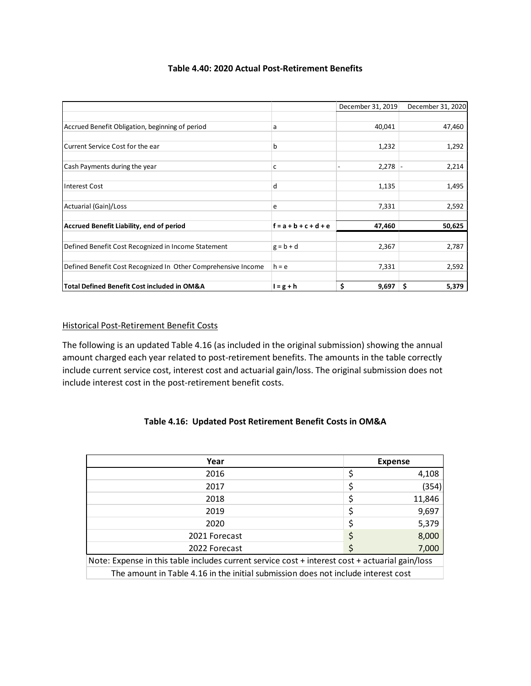|                                                               |                         | December 31, 2019 | December 31, 2020 |
|---------------------------------------------------------------|-------------------------|-------------------|-------------------|
|                                                               |                         |                   |                   |
| Accrued Benefit Obligation, beginning of period               | a                       | 40,041            | 47,460            |
|                                                               |                         |                   |                   |
| Current Service Cost for the ear                              | b                       | 1,232             | 1,292             |
|                                                               |                         |                   |                   |
| Cash Payments during the year                                 | c                       | $2,278$ -         | 2,214             |
|                                                               |                         |                   |                   |
| Interest Cost                                                 | d                       | 1,135             | 1,495             |
| Actuarial (Gain)/Loss                                         | e                       | 7,331             | 2,592             |
|                                                               |                         |                   |                   |
| Accrued Benefit Liability, end of period                      | $f = a + b + c + d + e$ | 47,460            | 50,625            |
|                                                               |                         |                   |                   |
| Defined Benefit Cost Recognized in Income Statement           | $g = b + d$             | 2,367             | 2,787             |
|                                                               |                         |                   |                   |
| Defined Benefit Cost Recognized In Other Comprehensive Income | $h = e$                 | 7,331             | 2,592             |
|                                                               |                         |                   |                   |
| Total Defined Benefit Cost included in OM&A                   | $l = g + h$             | \$<br>9,697       | 5,379<br>\$       |

## **Table 4.40: 2020 Actual Post-Retirement Benefits**

## Historical Post-Retirement Benefit Costs

The following is an updated Table 4.16 (as included in the original submission) showing the annual amount charged each year related to post-retirement benefits. The amounts in the table correctly include current service cost, interest cost and actuarial gain/loss. The original submission does not include interest cost in the post-retirement benefit costs.

## **Table 4.16: Updated Post Retirement Benefit Costs in OM&A**

| Year                                                                                            | <b>Expense</b> |        |  |  |
|-------------------------------------------------------------------------------------------------|----------------|--------|--|--|
| 2016                                                                                            |                | 4,108  |  |  |
| 2017                                                                                            | Ċ              | (354)  |  |  |
| 2018                                                                                            |                | 11,846 |  |  |
| 2019                                                                                            |                | 9,697  |  |  |
| 2020                                                                                            | \$             | 5,379  |  |  |
| 2021 Forecast                                                                                   |                | 8,000  |  |  |
| 2022 Forecast                                                                                   |                | 7,000  |  |  |
| Note: Expense in this table includes current service cost + interest cost + actuarial gain/loss |                |        |  |  |
| The amount in Table 4.16 in the initial submission does not include interest cost               |                |        |  |  |